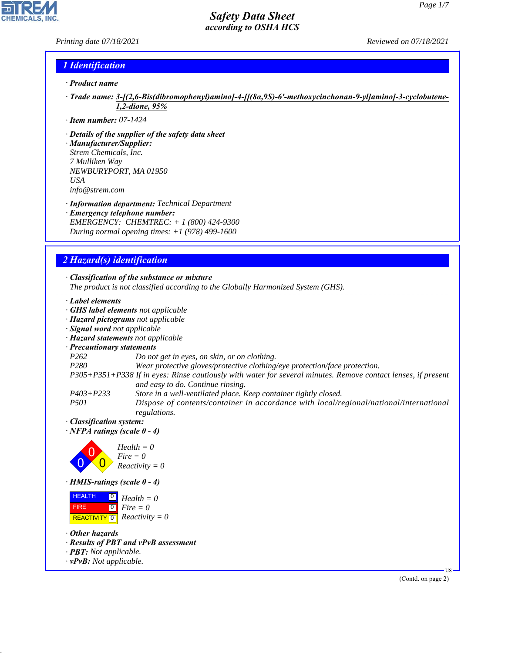#### *Printing date 07/18/2021 Reviewed on 07/18/2021*

**CHEMICALS** 

### *1 Identification*

- *· Product name*
- *· Trade name: 3-[(2,6-Bis(dibromophenyl)amino]-4-[[(8α,9S)-6'-methoxycinchonan-9-yl]amino]-3-cyclobutene-1,2-dione, 95%*
- *· Item number: 07-1424*
- *· Details of the supplier of the safety data sheet*
- *· Manufacturer/Supplier: Strem Chemicals, Inc. 7 Mulliken Way NEWBURYPORT, MA 01950 USA info@strem.com*
- *· Information department: Technical Department*
- *· Emergency telephone number: EMERGENCY: CHEMTREC: + 1 (800) 424-9300 During normal opening times: +1 (978) 499-1600*

# *2 Hazard(s) identification*

#### *· Classification of the substance or mixture*

*The product is not classified according to the Globally Harmonized System (GHS).*

- *· Label elements*
- *· GHS label elements not applicable*
- *· Hazard pictograms not applicable*
- *· Signal word not applicable*
- *· Hazard statements not applicable*
- *· Precautionary statements*
- *P262 Do not get in eyes, on skin, or on clothing.*
- *P280 Wear protective gloves/protective clothing/eye protection/face protection.*
- *P305+P351+P338 If in eyes: Rinse cautiously with water for several minutes. Remove contact lenses, if present and easy to do. Continue rinsing.*
- *P403+P233 Store in a well-ventilated place. Keep container tightly closed.*
- *P501 Dispose of contents/container in accordance with local/regional/national/international regulations.*
- *· Classification system:*
- *· NFPA ratings (scale 0 4)*



*· HMIS-ratings (scale 0 - 4)*

| <b>HEALTH</b> | $\overline{\mathbf{0}}$ Health = 0                          |
|---------------|-------------------------------------------------------------|
| <b>FIRE</b>   | $\begin{bmatrix} \bullet \\ \bullet \end{bmatrix}$ Fire = 0 |
|               | REACTIVITY $\boxed{0}$ <i>Reactivity</i> = 0                |

*· Other hazards*

44.1.1

- *· Results of PBT and vPvB assessment*
- *· PBT: Not applicable.*
- *· vPvB: Not applicable.*

(Contd. on page 2)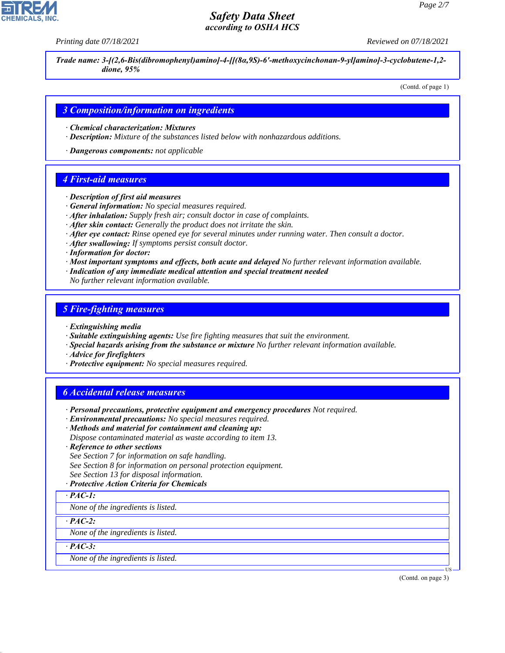

*Printing date 07/18/2021 Reviewed on 07/18/2021*

*Trade name: 3-[(2,6-Bis(dibromophenyl)amino]-4-[[(8α,9S)-6'-methoxycinchonan-9-yl]amino]-3-cyclobutene-1,2 dione, 95%*

(Contd. of page 1)

### *3 Composition/information on ingredients*

- *· Chemical characterization: Mixtures*
- *· Description: Mixture of the substances listed below with nonhazardous additions.*

*· Dangerous components: not applicable*

#### *4 First-aid measures*

- *· Description of first aid measures*
- *· General information: No special measures required.*
- *· After inhalation: Supply fresh air; consult doctor in case of complaints.*
- *· After skin contact: Generally the product does not irritate the skin.*
- *· After eye contact: Rinse opened eye for several minutes under running water. Then consult a doctor.*
- *· After swallowing: If symptoms persist consult doctor.*
- *· Information for doctor:*
- *· Most important symptoms and effects, both acute and delayed No further relevant information available.*
- *· Indication of any immediate medical attention and special treatment needed*
- *No further relevant information available.*

### *5 Fire-fighting measures*

- *· Extinguishing media*
- *· Suitable extinguishing agents: Use fire fighting measures that suit the environment.*
- *· Special hazards arising from the substance or mixture No further relevant information available.*
- *· Advice for firefighters*
- *· Protective equipment: No special measures required.*

#### *6 Accidental release measures*

- *· Personal precautions, protective equipment and emergency procedures Not required.*
- *· Environmental precautions: No special measures required. · Methods and material for containment and cleaning up:*
- *Dispose contaminated material as waste according to item 13.*
- *· Reference to other sections*

*See Section 7 for information on safe handling.*

- *See Section 8 for information on personal protection equipment.*
- *See Section 13 for disposal information.*
- *· Protective Action Criteria for Chemicals*

#### *· PAC-1:*

*None of the ingredients is listed.*

*· PAC-2:*

*None of the ingredients is listed.*

*· PAC-3:*

44.1.1

*None of the ingredients is listed.*

(Contd. on page 3)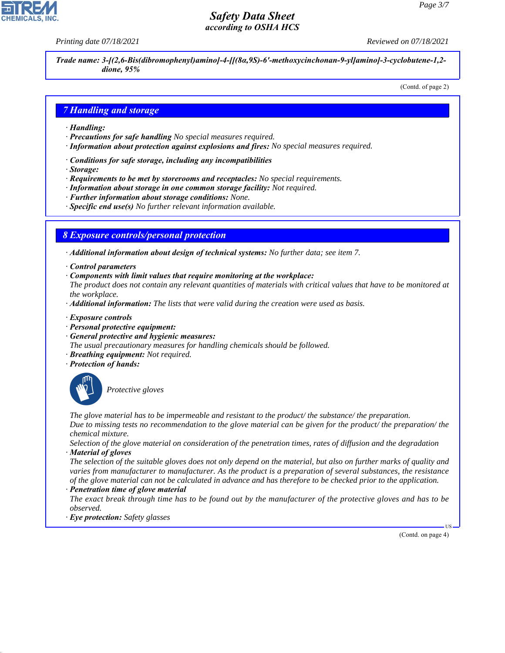*Printing date 07/18/2021 Reviewed on 07/18/2021*

*Trade name: 3-[(2,6-Bis(dibromophenyl)amino]-4-[[(8α,9S)-6'-methoxycinchonan-9-yl]amino]-3-cyclobutene-1,2 dione, 95%*

(Contd. of page 2)

## *7 Handling and storage*

- *· Handling:*
- *· Precautions for safe handling No special measures required.*
- *· Information about protection against explosions and fires: No special measures required.*
- *· Conditions for safe storage, including any incompatibilities*
- *· Storage:*
- *· Requirements to be met by storerooms and receptacles: No special requirements.*
- *· Information about storage in one common storage facility: Not required.*
- *· Further information about storage conditions: None.*
- *· Specific end use(s) No further relevant information available.*

#### *8 Exposure controls/personal protection*

- *· Additional information about design of technical systems: No further data; see item 7.*
- *· Control parameters*
- *· Components with limit values that require monitoring at the workplace:*
- *The product does not contain any relevant quantities of materials with critical values that have to be monitored at the workplace.*
- *· Additional information: The lists that were valid during the creation were used as basis.*
- *· Exposure controls*
- *· Personal protective equipment:*
- *· General protective and hygienic measures:*
- *The usual precautionary measures for handling chemicals should be followed.*
- *· Breathing equipment: Not required.*
- *· Protection of hands:*



44.1.1

\_S*Protective gloves*

*The glove material has to be impermeable and resistant to the product/ the substance/ the preparation. Due to missing tests no recommendation to the glove material can be given for the product/ the preparation/ the chemical mixture.*

*Selection of the glove material on consideration of the penetration times, rates of diffusion and the degradation · Material of gloves*

*The selection of the suitable gloves does not only depend on the material, but also on further marks of quality and varies from manufacturer to manufacturer. As the product is a preparation of several substances, the resistance of the glove material can not be calculated in advance and has therefore to be checked prior to the application. · Penetration time of glove material*

*The exact break through time has to be found out by the manufacturer of the protective gloves and has to be observed.*

*· Eye protection: Safety glasses*

(Contd. on page 4)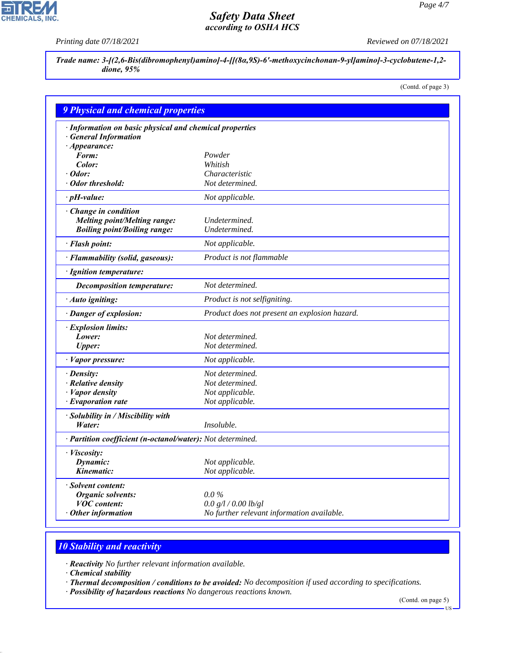

*Printing date 07/18/2021 Reviewed on 07/18/2021*

*Trade name: 3-[(2,6-Bis(dibromophenyl)amino]-4-[[(8α,9S)-6'-methoxycinchonan-9-yl]amino]-3-cyclobutene-1,2 dione, 95%*

(Contd. of page 3)

| <b>9 Physical and chemical properties</b>                  |                                                         |  |  |  |
|------------------------------------------------------------|---------------------------------------------------------|--|--|--|
|                                                            | · Information on basic physical and chemical properties |  |  |  |
| · General Information                                      |                                                         |  |  |  |
| $\cdot$ Appearance:                                        |                                                         |  |  |  |
| Form:                                                      | Powder                                                  |  |  |  |
| Color:                                                     | Whitish                                                 |  |  |  |
| Odor:                                                      | Characteristic                                          |  |  |  |
| · Odor threshold:                                          | Not determined.                                         |  |  |  |
| $\cdot$ pH-value:                                          | Not applicable.                                         |  |  |  |
| · Change in condition                                      |                                                         |  |  |  |
| <b>Melting point/Melting range:</b>                        | Undetermined.                                           |  |  |  |
| <b>Boiling point/Boiling range:</b>                        | Undetermined.                                           |  |  |  |
| · Flash point:                                             | Not applicable.                                         |  |  |  |
| · Flammability (solid, gaseous):                           | Product is not flammable                                |  |  |  |
| · Ignition temperature:                                    |                                                         |  |  |  |
| <b>Decomposition temperature:</b>                          | Not determined.                                         |  |  |  |
| · Auto igniting:                                           | Product is not selfigniting.                            |  |  |  |
| · Danger of explosion:                                     | Product does not present an explosion hazard.           |  |  |  |
| · Explosion limits:                                        |                                                         |  |  |  |
| Lower:                                                     | Not determined.                                         |  |  |  |
| <b>Upper:</b>                                              | Not determined.                                         |  |  |  |
| · Vapor pressure:                                          | Not applicable.                                         |  |  |  |
| · Density:                                                 | Not determined.                                         |  |  |  |
| · Relative density                                         | Not determined.                                         |  |  |  |
| · Vapor density                                            | Not applicable.                                         |  |  |  |
| $\cdot$ Evaporation rate                                   | Not applicable.                                         |  |  |  |
| · Solubility in / Miscibility with                         |                                                         |  |  |  |
| Water:                                                     | Insoluble.                                              |  |  |  |
| · Partition coefficient (n-octanol/water): Not determined. |                                                         |  |  |  |
| · Viscosity:                                               |                                                         |  |  |  |
| Dynamic:                                                   | Not applicable.                                         |  |  |  |
| Kinematic:                                                 | Not applicable.                                         |  |  |  |
| · Solvent content:                                         |                                                         |  |  |  |
| Organic solvents:                                          | $0.0\%$                                                 |  |  |  |
| <b>VOC</b> content:                                        | 0.0 g/l / 0.00 lb/gl                                    |  |  |  |
| Other information                                          | No further relevant information available.              |  |  |  |

# *10 Stability and reactivity*

*· Reactivity No further relevant information available.*

*· Chemical stability*

44.1.1

*· Thermal decomposition / conditions to be avoided: No decomposition if used according to specifications.*

*· Possibility of hazardous reactions No dangerous reactions known.*

(Contd. on page 5)

US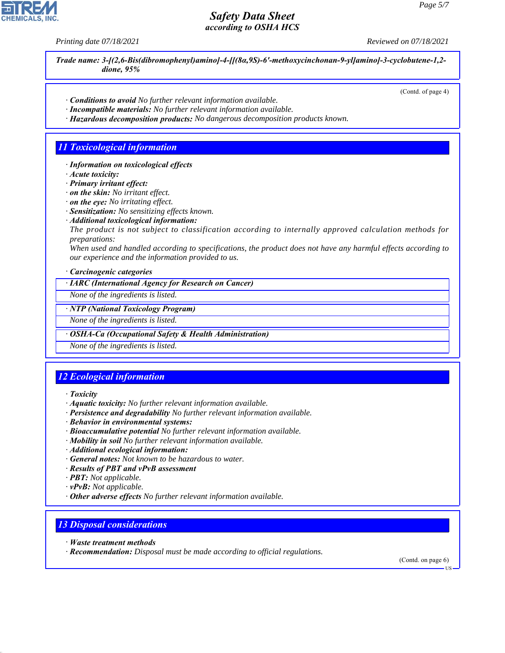*Printing date 07/18/2021 Reviewed on 07/18/2021*

*Trade name: 3-[(2,6-Bis(dibromophenyl)amino]-4-[[(8α,9S)-6'-methoxycinchonan-9-yl]amino]-3-cyclobutene-1,2 dione, 95%*

(Contd. of page 4)

- *· Conditions to avoid No further relevant information available.*
- *· Incompatible materials: No further relevant information available.*
- *· Hazardous decomposition products: No dangerous decomposition products known.*

## *11 Toxicological information*

- *· Information on toxicological effects*
- *· Acute toxicity:*
- *· Primary irritant effect:*
- *· on the skin: No irritant effect.*
- *· on the eye: No irritating effect.*
- *· Sensitization: No sensitizing effects known.*
- *· Additional toxicological information:*

*The product is not subject to classification according to internally approved calculation methods for preparations:*

*When used and handled according to specifications, the product does not have any harmful effects according to our experience and the information provided to us.*

*· Carcinogenic categories*

*· IARC (International Agency for Research on Cancer)*

*None of the ingredients is listed.*

#### *· NTP (National Toxicology Program)*

*None of the ingredients is listed.*

#### *· OSHA-Ca (Occupational Safety & Health Administration)*

*None of the ingredients is listed.*

# *12 Ecological information*

- *· Toxicity*
- *· Aquatic toxicity: No further relevant information available.*
- *· Persistence and degradability No further relevant information available.*
- *· Behavior in environmental systems:*
- *· Bioaccumulative potential No further relevant information available.*
- *· Mobility in soil No further relevant information available.*
- *· Additional ecological information:*
- *· General notes: Not known to be hazardous to water.*
- *· Results of PBT and vPvB assessment*
- *· PBT: Not applicable.*
- *· vPvB: Not applicable.*
- *· Other adverse effects No further relevant information available.*

# *13 Disposal considerations*

*· Waste treatment methods*

44.1.1

*· Recommendation: Disposal must be made according to official regulations.*

(Contd. on page 6)

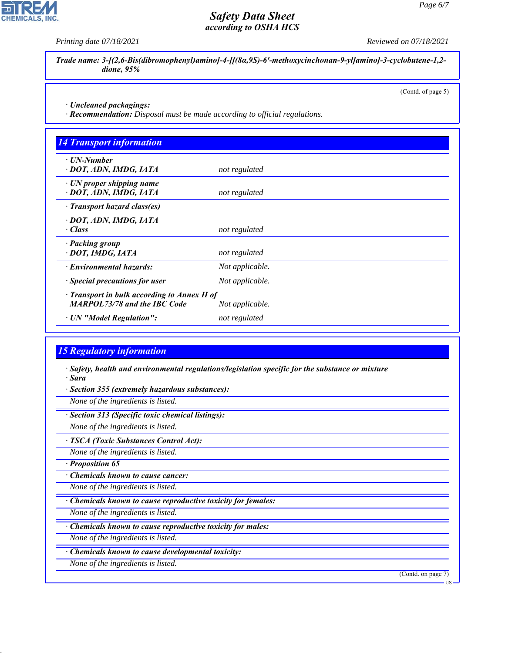*Printing date 07/18/2021 Reviewed on 07/18/2021*

*Trade name: 3-[(2,6-Bis(dibromophenyl)amino]-4-[[(8α,9S)-6'-methoxycinchonan-9-yl]amino]-3-cyclobutene-1,2 dione, 95%*

(Contd. of page 5)

*· Uncleaned packagings:*

*· Recommendation: Disposal must be made according to official regulations.*

| <b>14 Transport information</b>                                                     |                 |  |
|-------------------------------------------------------------------------------------|-----------------|--|
| ⋅ UN-Number<br>· DOT, ADN, IMDG, IATA                                               | not regulated   |  |
| · UN proper shipping name<br>· DOT, ADN, IMDG, IATA                                 | not regulated   |  |
| · Transport hazard class(es)                                                        |                 |  |
| · DOT, ADN, IMDG, IATA<br>· Class                                                   | not regulated   |  |
| · Packing group<br>· DOT, IMDG, IATA                                                | not regulated   |  |
| · Environmental hazards:                                                            | Not applicable. |  |
| · Special precautions for user                                                      | Not applicable. |  |
| · Transport in bulk according to Annex II of<br><b>MARPOL73/78 and the IBC Code</b> | Not applicable. |  |
| · UN "Model Regulation":                                                            | not regulated   |  |

# *15 Regulatory information*

*· Safety, health and environmental regulations/legislation specific for the substance or mixture · Sara*

*· Section 355 (extremely hazardous substances):*

*None of the ingredients is listed.*

*· Section 313 (Specific toxic chemical listings):*

*None of the ingredients is listed.*

*· TSCA (Toxic Substances Control Act):*

*None of the ingredients is listed.*

*· Proposition 65*

44.1.1

*· Chemicals known to cause cancer:*

*None of the ingredients is listed.*

*· Chemicals known to cause reproductive toxicity for females:*

*None of the ingredients is listed.*

*· Chemicals known to cause reproductive toxicity for males:*

*None of the ingredients is listed.*

*· Chemicals known to cause developmental toxicity:*

*None of the ingredients is listed.*

(Contd. on page 7)



US